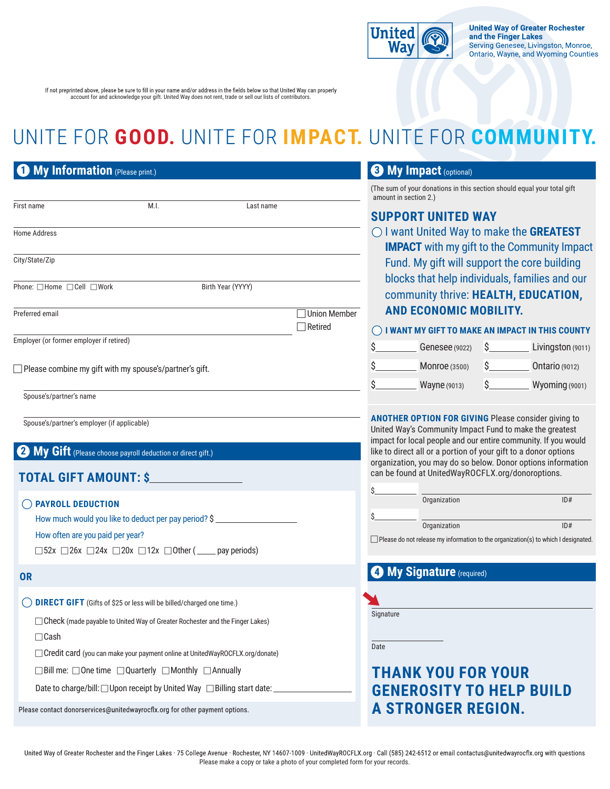

If not preprinted above, please be sure to fill in your name and/or address in the fields below so that United Way can properly account for and acknowledge your gift. United Way does not rent, trade or sell our lists of contributors.

# UNITE FOR **GOOD.** UNITE FOR **IMPACT.** UNITE FOR **COMMUNITY.**

|                 | My Information (Please print.)                                                                                               |      |                   |           |                                  | My In<br>3)                                       |
|-----------------|------------------------------------------------------------------------------------------------------------------------------|------|-------------------|-----------|----------------------------------|---------------------------------------------------|
|                 |                                                                                                                              |      |                   |           |                                  | (The sum of yo<br>amount in sec                   |
| First name      |                                                                                                                              | M.I. |                   | Last name |                                  | <b>SUPPOF</b>                                     |
| Home Address    |                                                                                                                              |      |                   |           |                                  | $\bigcirc$ I want<br><b>IMPAC</b>                 |
| City/State/Zip  |                                                                                                                              |      |                   |           |                                  | Fund.                                             |
|                 | Phone: □Home □Cell □Work                                                                                                     |      | Birth Year (YYYY) |           |                                  | blocks<br>comm                                    |
| Preferred email |                                                                                                                              |      |                   |           | □ Union Member<br>$\Box$ Retired | <b>AND E</b>                                      |
|                 | Employer (or former employer if retired)                                                                                     |      |                   |           |                                  | $\bigcirc$ I WANT<br>\$.                          |
|                 | $\Box$ Please combine my gift with my spouse's/partner's gift.                                                               |      |                   |           |                                  | \$_<br>\$.                                        |
|                 | Spouse's/partner's name                                                                                                      |      |                   |           |                                  |                                                   |
|                 | Spouse's/partner's employer (if applicable)                                                                                  |      |                   |           |                                  | <b>ANOTHER C</b><br>United Way's<br>impact for lo |
|                 | My Gift (Please choose payroll deduction or direct gift.)                                                                    |      |                   |           |                                  | like to direct<br>organization<br>can be found    |
|                 | <b>TOTAL GIFT AMOUNT: \$</b>                                                                                                 |      |                   |           |                                  | \$.                                               |
|                 | <b>PAYROLL DEDUCTION</b><br>How much would you like to deduct per pay period? \$                                             |      |                   |           |                                  | \$.                                               |
|                 | How often are you paid per year?<br>$\Box$ 52x $\Box$ 26x $\Box$ 24x $\Box$ 20x $\Box$ 12x $\Box$ Other ( _____ pay periods) |      |                   |           |                                  | Please do not                                     |
| <b>OR</b>       |                                                                                                                              |      |                   |           |                                  | <b>43 My Si</b>                                   |
|                 | <b>DIRECT GIFT</b> (Gifts of \$25 or less will be billed/charged one time.)                                                  |      |                   |           |                                  |                                                   |
| $\Box$ Cash     | □ Check (made payable to United Way of Greater Rochester and the Finger Lakes)                                               |      |                   |           |                                  | Signature                                         |
|                 | □ Credit card (you can make your payment online at UnitedWayROCFLX.org/donate)                                               |      |                   |           |                                  | Date                                              |
|                 | $\Box$ Bill me: $\Box$ One time $\Box$ Quarterly $\Box$ Monthly $\Box$ Annually                                              |      |                   |           |                                  | <b>THAN</b>                                       |
|                 | Date to charge/bill: □ Upon receipt by United Way □ Billing start date: _                                                    |      |                   |           |                                  | <b>GENER</b>                                      |
|                 | Please contact donorservices@unitedwayrocflx.org for other payment options.                                                  |      |                   |           |                                  | <b>A STR</b>                                      |

### **3 My Impact** (optional)

ur donations in this section should equal your total gift  $\tan 2.$ )

## **RT UNITED WAY**

**United Way to make the GREATEST T** with my gift to the Community Impact My gift will support the core building that help individuals, families and our community thrive: **HEALTH, EDUCATION, ECONOMIC MOBILITY.** 

#### **IMY GIFT TO MAKE AN IMPACT IN THIS COUNTY**

| Ś | <b>Genesee</b> (9022) | Livingston (9011)     |
|---|-----------------------|-----------------------|
| Ś | <b>Monroe</b> (3500)  | <b>Ontario (9012)</b> |
|   | <b>Wayne</b> (9013)   | Wyoming (9001)        |

**APTION FOR GIVING** Please consider giving to Gommunity Impact Fund to make the greatest cal people and our entire community. If you would all or a portion of your gift to a donor options , you may do so below. Donor options information d at UnitedWayROCFLX.org/donoroptions.

| c |              |  |     |  |
|---|--------------|--|-----|--|
|   | Organization |  | ID# |  |
|   |              |  |     |  |
|   | Organization |  | ID# |  |
|   |              |  |     |  |

I release my information to the organization(s) to which I designated.

## **ignature** (required)

| gnature |  |
|---------|--|

## **THANK YOU FOR YOUR GENEROSITY TO HELP BUILD ONGER REGION.**

United Way of Greater Rochester and the Finger Lakes · 75 College Avenue · Rochester, NY 14607-1009 · UnitedWayROCFLX.org · Call (585) 242-6512 or email contactus@unitedwayrocflx.org with questions Please make a copy or take a photo of your completed form for your records.